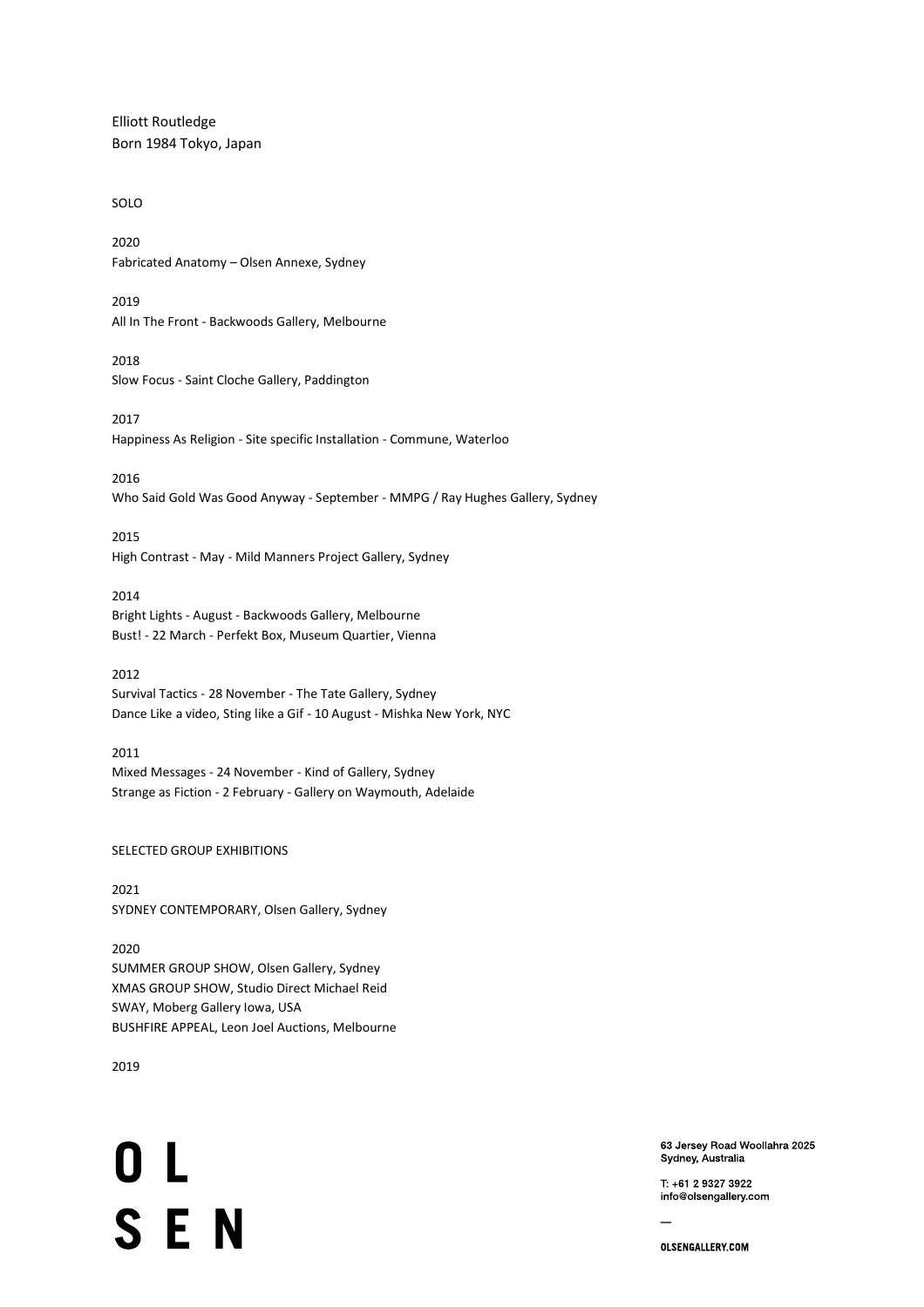Elliott Routledge Born 1984 Tokyo, Japan

# SOLO

2020 Fabricated Anatomy – Olsen Annexe, Sydney

2019 All In The Front - Backwoods Gallery, Melbourne

2018 Slow Focus - Saint Cloche Gallery, Paddington

2017 Happiness As Religion - Site specific Installation - Commune, Waterloo

2016

Who Said Gold Was Good Anyway - September - MMPG / Ray Hughes Gallery, Sydney

2015

High Contrast - May - Mild Manners Project Gallery, Sydney

2014 Bright Lights - August - Backwoods Gallery, Melbourne

Bust! - 22 March - Perfekt Box, Museum Quartier, Vienna

# 2012

Survival Tactics - 28 November - The Tate Gallery, Sydney Dance Like a video, Sting like a Gif - 10 August - Mishka New York, NYC

## 2011

Mixed Messages - 24 November - Kind of Gallery, Sydney Strange as Fiction - 2 February - Gallery on Waymouth, Adelaide

## SELECTED GROUP EXHIBITIONS

2021 SYDNEY CONTEMPORARY, Olsen Gallery, Sydney

2020

SUMMER GROUP SHOW, Olsen Gallery, Sydney XMAS GROUP SHOW, Studio Direct Michael Reid SWAY, Moberg Gallery Iowa, USA BUSHFIRE APPEAL, Leon Joel Auctions, Melbourne

2019

0 L **SEN** 

63 Jersey Road Woollahra 2025 Sydney, Australia

T: +61 2 9327 3922 info@olsengallery.com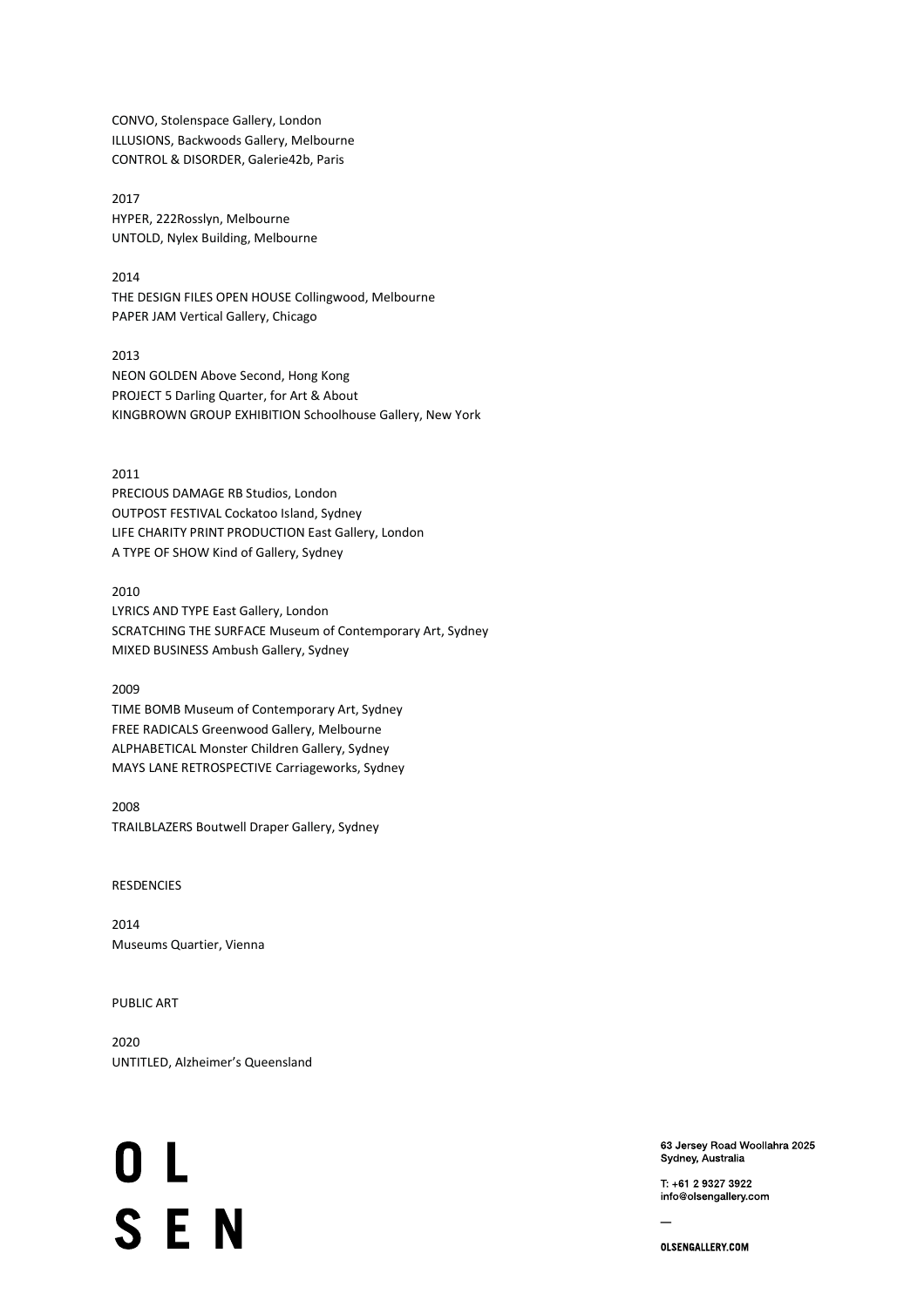CONVO, Stolenspace Gallery, London ILLUSIONS, Backwoods Gallery, Melbourne CONTROL & DISORDER, Galerie42b, Paris

2017 HYPER, 222Rosslyn, Melbourne UNTOLD, Nylex Building, Melbourne

2014 THE DESIGN FILES OPEN HOUSE Collingwood, Melbourne PAPER JAM Vertical Gallery, Chicago

2013 NEON GOLDEN Above Second, Hong Kong PROJECT 5 Darling Quarter, for Art & About KINGBROWN GROUP EXHIBITION Schoolhouse Gallery, New York

2011 PRECIOUS DAMAGE RB Studios, London OUTPOST FESTIVAL Cockatoo Island, Sydney LIFE CHARITY PRINT PRODUCTION East Gallery, London A TYPE OF SHOW Kind of Gallery, Sydney

2010

LYRICS AND TYPE East Gallery, London SCRATCHING THE SURFACE Museum of Contemporary Art, Sydney MIXED BUSINESS Ambush Gallery, Sydney

2009 TIME BOMB Museum of Contemporary Art, Sydney FREE RADICALS Greenwood Gallery, Melbourne ALPHABETICAL Monster Children Gallery, Sydney MAYS LANE RETROSPECTIVE Carriageworks, Sydney

2008 TRAILBLAZERS Boutwell Draper Gallery, Sydney

RESDENCIES

2014 Museums Quartier, Vienna

PUBLIC ART

2020 UNTITLED, Alzheimer's Queensland

0 L **SEN** 

63 Jersey Road Woollahra 2025 Sydney, Australia

T: +61 2 9327 3922 info@olsengallery.com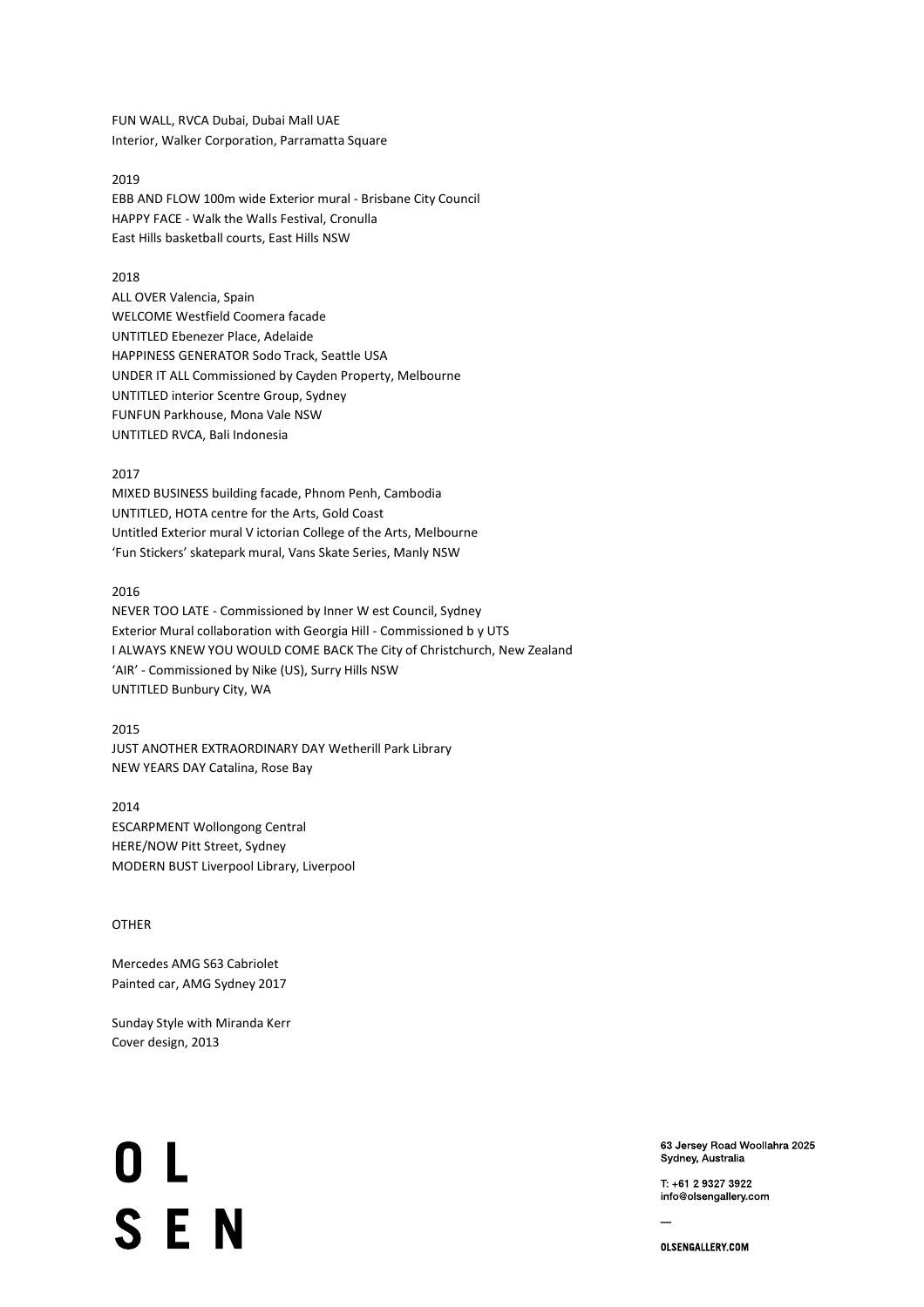FUN WALL, RVCA Dubai, Dubai Mall UAE Interior, Walker Corporation, Parramatta Square

## 2019

EBB AND FLOW 100m wide Exterior mural - Brisbane City Council HAPPY FACE - Walk the Walls Festival, Cronulla East Hills basketball courts, East Hills NSW

#### 2018

ALL OVER Valencia, Spain WELCOME Westfield Coomera facade UNTITLED Ebenezer Place, Adelaide HAPPINESS GENERATOR Sodo Track, Seattle USA UNDER IT ALL Commissioned by Cayden Property, Melbourne UNTITLED interior Scentre Group, Sydney FUNFUN Parkhouse, Mona Vale NSW UNTITLED RVCA, Bali Indonesia

#### 2017

MIXED BUSINESS building facade, Phnom Penh, Cambodia UNTITLED, HOTA centre for the Arts, Gold Coast Untitled Exterior mural V ictorian College of the Arts, Melbourne 'Fun Stickers' skatepark mural, Vans Skate Series, Manly NSW

### 2016

NEVER TOO LATE - Commissioned by Inner W est Council, Sydney Exterior Mural collaboration with Georgia Hill - Commissioned b y UTS I ALWAYS KNEW YOU WOULD COME BACK The City of Christchurch, New Zealand 'AIR' - Commissioned by Nike (US), Surry Hills NSW UNTITLED Bunbury City, WA

2015

JUST ANOTHER EXTRAORDINARY DAY Wetherill Park Library NEW YEARS DAY Catalina, Rose Bay

2014 ESCARPMENT Wollongong Central HERE/NOW Pitt Street, Sydney MODERN BUST Liverpool Library, Liverpool

# **OTHER**

Mercedes AMG S63 Cabriolet Painted car, AMG Sydney 2017

Sunday Style with Miranda Kerr Cover design, 2013

0 L **SEN** 

63 Jersey Road Woollahra 2025 Sydney, Australia

T: +61 2 9327 3922 info@olsengallery.com